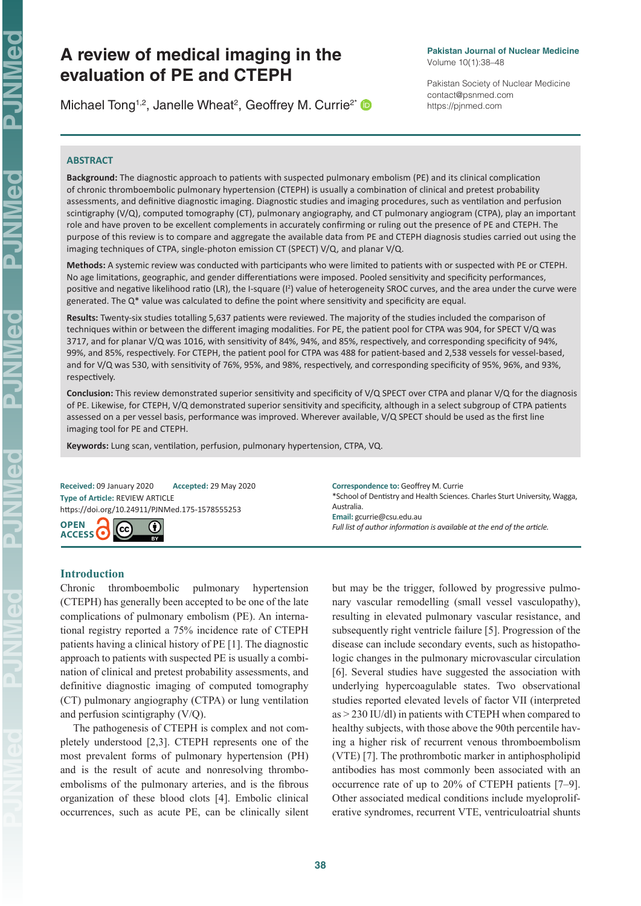NMed

 $\overline{\mathbf{d}}$ 

# **A review of medical imaging in the evaluation of PE and CTEPH**

Michael Tong<sup>1,2</sup>, Janelle Wheat<sup>2</sup>, Geoffrey M. Currie<sup>2\*</sup>

#### **Pakistan Journal of Nuclear Medicine** Volume 10(1):38–48

Pakistan Society of Nuclear Medicine contact@psnmed.com https://pjnmed.com

# **ABSTRACT**

**Background:** The diagnostic approach to patients with suspected pulmonary embolism (PE) and its clinical complication of chronic thromboembolic pulmonary hypertension (CTEPH) is usually a combination of clinical and pretest probability assessments, and definitive diagnostic imaging. Diagnostic studies and imaging procedures, such as ventilation and perfusion scintigraphy (V/Q), computed tomography (CT), pulmonary angiography, and CT pulmonary angiogram (CTPA), play an important role and have proven to be excellent complements in accurately confirming or ruling out the presence of PE and CTEPH. The purpose of this review is to compare and aggregate the available data from PE and CTEPH diagnosis studies carried out using the imaging techniques of CTPA, single-photon emission CT (SPECT) V/Q, and planar V/Q.

**Methods:** A systemic review was conducted with participants who were limited to patients with or suspected with PE or CTEPH. No age limitations, geographic, and gender differentiations were imposed. Pooled sensitivity and specificity performances, positive and negative likelihood ratio (LR), the I-square (I<sup>2</sup>) value of heterogeneity SROC curves, and the area under the curve were generated. The Q\* value was calculated to define the point where sensitivity and specificity are equal.

**Results:** Twenty-six studies totalling 5,637 patients were reviewed. The majority of the studies included the comparison of techniques within or between the different imaging modalities. For PE, the patient pool for CTPA was 904, for SPECT V/Q was 3717, and for planar V/Q was 1016, with sensitivity of 84%, 94%, and 85%, respectively, and corresponding specificity of 94%, 99%, and 85%, respectively. For CTEPH, the patient pool for CTPA was 488 for patient-based and 2,538 vessels for vessel-based, and for V/Q was 530, with sensitivity of 76%, 95%, and 98%, respectively, and corresponding specificity of 95%, 96%, and 93%, respectively.

**Conclusion:** This review demonstrated superior sensitivity and specificity of V/Q SPECT over CTPA and planar V/Q for the diagnosis of PE. Likewise, for CTEPH, V/Q demonstrated superior sensitivity and specificity, although in a select subgroup of CTPA patients assessed on a per vessel basis, performance was improved. Wherever available, V/Q SPECT should be used as the first line imaging tool for PE and CTEPH.

**Keywords:** Lung scan, ventilation, perfusion, pulmonary hypertension, CTPA, VQ.

**Received:** 09 January 2020 **Accepted:** 29 May 2020 **Type of Article:** REVIEW ARTICLE [https://doi.org/10.24911/PJNMed.1](https://doi.org/10.24911/PJNMed.175-1587355781)75-1578555253



**Correspondence to:** Geoffrey M. Currie \*School of Dentistry and Health Sciences. Charles Sturt University, Wagga, Australia. **Email:** gcurrie@csu.edu.au *Full list of author information is available at the end of the article.*

# **Introduction**

Chronic thromboembolic pulmonary hypertension (CTEPH) has generally been accepted to be one of the late complications of pulmonary embolism (PE). An international registry reported a 75% incidence rate of CTEPH patients having a clinical history of PE [1]. The diagnostic approach to patients with suspected PE is usually a combination of clinical and pretest probability assessments, and definitive diagnostic imaging of computed tomography (CT) pulmonary angiography (CTPA) or lung ventilation and perfusion scintigraphy (V/Q).

The pathogenesis of CTEPH is complex and not completely understood [2,3]. CTEPH represents one of the most prevalent forms of pulmonary hypertension (PH) and is the result of acute and nonresolving thromboembolisms of the pulmonary arteries, and is the fibrous organization of these blood clots [4]. Embolic clinical occurrences, such as acute PE, can be clinically silent but may be the trigger, followed by progressive pulmonary vascular remodelling (small vessel vasculopathy), resulting in elevated pulmonary vascular resistance, and subsequently right ventricle failure [5]. Progression of the disease can include secondary events, such as histopathologic changes in the pulmonary microvascular circulation [6]. Several studies have suggested the association with underlying hypercoagulable states. Two observational studies reported elevated levels of factor VII (interpreted as > 230 IU/dl) in patients with CTEPH when compared to healthy subjects, with those above the 90th percentile having a higher risk of recurrent venous thromboembolism (VTE) [7]. The prothrombotic marker in antiphospholipid antibodies has most commonly been associated with an occurrence rate of up to 20% of CTEPH patients [7–9]. Other associated medical conditions include myeloproliferative syndromes, recurrent VTE, ventriculoatrial shunts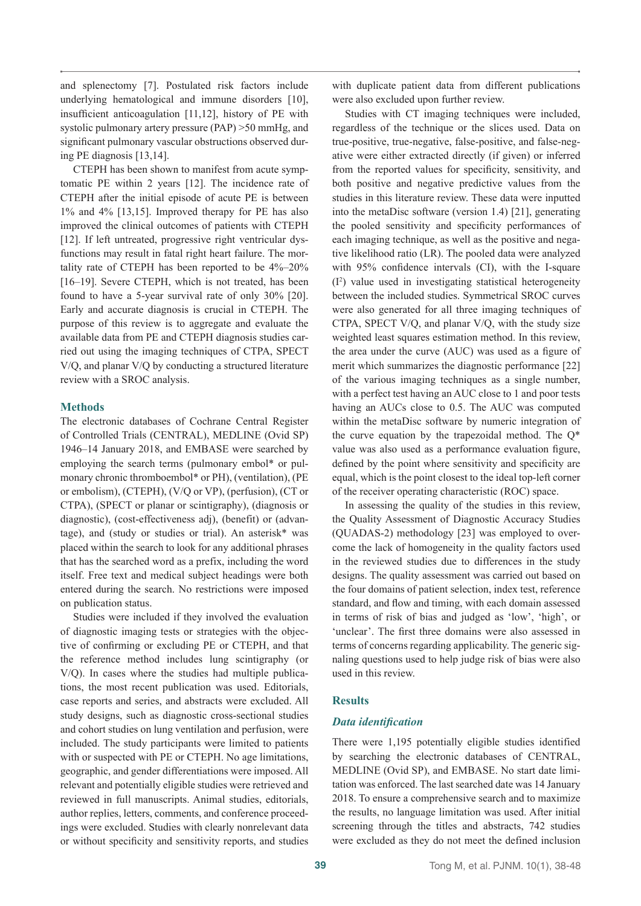and splenectomy [7]. Postulated risk factors include underlying hematological and immune disorders [10], insufficient anticoagulation [11,12], history of PE with systolic pulmonary artery pressure (PAP) >50 mmHg, and significant pulmonary vascular obstructions observed during PE diagnosis [13,14].

CTEPH has been shown to manifest from acute symptomatic PE within 2 years [12]. The incidence rate of CTEPH after the initial episode of acute PE is between 1% and 4% [13,15]. Improved therapy for PE has also improved the clinical outcomes of patients with CTEPH [12]. If left untreated, progressive right ventricular dysfunctions may result in fatal right heart failure. The mortality rate of CTEPH has been reported to be 4%–20% [16–19]. Severe CTEPH, which is not treated, has been found to have a 5-year survival rate of only 30% [20]. Early and accurate diagnosis is crucial in CTEPH. The purpose of this review is to aggregate and evaluate the available data from PE and CTEPH diagnosis studies carried out using the imaging techniques of CTPA, SPECT V/Q, and planar V/Q by conducting a structured literature review with a SROC analysis.

# **Methods**

The electronic databases of Cochrane Central Register of Controlled Trials (CENTRAL), MEDLINE (Ovid SP) 1946–14 January 2018, and EMBASE were searched by employing the search terms (pulmonary embol\* or pulmonary chronic thromboembol\* or PH), (ventilation), (PE or embolism), (CTEPH), (V/Q or VP), (perfusion), (CT or CTPA), (SPECT or planar or scintigraphy), (diagnosis or diagnostic), (cost-effectiveness adj), (benefit) or (advantage), and (study or studies or trial). An asterisk\* was placed within the search to look for any additional phrases that has the searched word as a prefix, including the word itself. Free text and medical subject headings were both entered during the search. No restrictions were imposed on publication status.

Studies were included if they involved the evaluation of diagnostic imaging tests or strategies with the objective of confirming or excluding PE or CTEPH, and that the reference method includes lung scintigraphy (or V/Q). In cases where the studies had multiple publications, the most recent publication was used. Editorials, case reports and series, and abstracts were excluded. All study designs, such as diagnostic cross-sectional studies and cohort studies on lung ventilation and perfusion, were included. The study participants were limited to patients with or suspected with PE or CTEPH. No age limitations, geographic, and gender differentiations were imposed. All relevant and potentially eligible studies were retrieved and reviewed in full manuscripts. Animal studies, editorials, author replies, letters, comments, and conference proceedings were excluded. Studies with clearly nonrelevant data or without specificity and sensitivity reports, and studies

with duplicate patient data from different publications were also excluded upon further review.

Studies with CT imaging techniques were included, regardless of the technique or the slices used. Data on true-positive, true-negative, false-positive, and false-negative were either extracted directly (if given) or inferred from the reported values for specificity, sensitivity, and both positive and negative predictive values from the studies in this literature review. These data were inputted into the metaDisc software (version 1.4) [21], generating the pooled sensitivity and specificity performances of each imaging technique, as well as the positive and negative likelihood ratio (LR). The pooled data were analyzed with 95% confidence intervals (CI), with the I-square (I2 ) value used in investigating statistical heterogeneity between the included studies. Symmetrical SROC curves were also generated for all three imaging techniques of CTPA, SPECT V/Q, and planar V/Q, with the study size weighted least squares estimation method. In this review, the area under the curve (AUC) was used as a figure of merit which summarizes the diagnostic performance [22] of the various imaging techniques as a single number, with a perfect test having an AUC close to 1 and poor tests having an AUCs close to 0.5. The AUC was computed within the metaDisc software by numeric integration of the curve equation by the trapezoidal method. The  $Q^*$ value was also used as a performance evaluation figure, defined by the point where sensitivity and specificity are equal, which is the point closest to the ideal top-left corner of the receiver operating characteristic (ROC) space.

In assessing the quality of the studies in this review, the Quality Assessment of Diagnostic Accuracy Studies (QUADAS-2) methodology [23] was employed to overcome the lack of homogeneity in the quality factors used in the reviewed studies due to differences in the study designs. The quality assessment was carried out based on the four domains of patient selection, index test, reference standard, and flow and timing, with each domain assessed in terms of risk of bias and judged as 'low', 'high', or 'unclear'. The first three domains were also assessed in terms of concerns regarding applicability. The generic signaling questions used to help judge risk of bias were also used in this review.

# **Results**

# *Data identification*

There were 1,195 potentially eligible studies identified by searching the electronic databases of CENTRAL, MEDLINE (Ovid SP), and EMBASE. No start date limitation was enforced. The last searched date was 14 January 2018. To ensure a comprehensive search and to maximize the results, no language limitation was used. After initial screening through the titles and abstracts, 742 studies were excluded as they do not meet the defined inclusion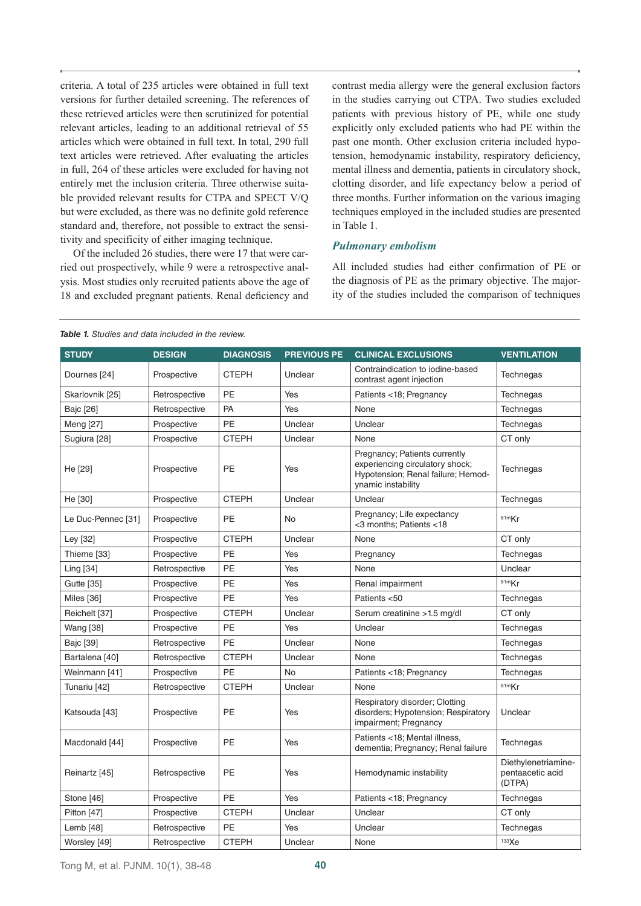criteria. A total of 235 articles were obtained in full text versions for further detailed screening. The references of these retrieved articles were then scrutinized for potential relevant articles, leading to an additional retrieval of 55 articles which were obtained in full text. In total, 290 full text articles were retrieved. After evaluating the articles in full, 264 of these articles were excluded for having not entirely met the inclusion criteria. Three otherwise suitable provided relevant results for CTPA and SPECT V/Q but were excluded, as there was no definite gold reference standard and, therefore, not possible to extract the sensitivity and specificity of either imaging technique.

Of the included 26 studies, there were 17 that were carried out prospectively, while 9 were a retrospective analysis. Most studies only recruited patients above the age of 18 and excluded pregnant patients. Renal deficiency and contrast media allergy were the general exclusion factors in the studies carrying out CTPA. Two studies excluded patients with previous history of PE, while one study explicitly only excluded patients who had PE within the past one month. Other exclusion criteria included hypotension, hemodynamic instability, respiratory deficiency, mental illness and dementia, patients in circulatory shock, clotting disorder, and life expectancy below a period of three months. Further information on the various imaging techniques employed in the included studies are presented in Table 1.

# *Pulmonary embolism*

All included studies had either confirmation of PE or the diagnosis of PE as the primary objective. The majority of the studies included the comparison of techniques

| <b>Table 1.</b> Studies and data included in the review. |  |
|----------------------------------------------------------|--|
|----------------------------------------------------------|--|

| <b>STUDY</b>       | <b>DESIGN</b> | <b>DIAGNOSIS</b> | <b>PREVIOUS PE</b> | <b>CLINICAL EXCLUSIONS</b>                                                                                                   | <b>VENTILATION</b>                                |
|--------------------|---------------|------------------|--------------------|------------------------------------------------------------------------------------------------------------------------------|---------------------------------------------------|
| Dournes [24]       | Prospective   | <b>CTEPH</b>     | Unclear            | Contraindication to iodine-based<br>contrast agent injection                                                                 | Technegas                                         |
| Skarlovnik [25]    | Retrospective | <b>PE</b>        | Yes                | Patients <18; Pregnancy                                                                                                      | Technegas                                         |
| Bajc [26]          | Retrospective | PA               | Yes                | None                                                                                                                         | Technegas                                         |
| Meng [27]          | Prospective   | <b>PE</b>        | Unclear            | Unclear                                                                                                                      | Technegas                                         |
| Sugiura [28]       | Prospective   | <b>CTEPH</b>     | Unclear            | None                                                                                                                         | CT only                                           |
| He [29]            | Prospective   | PE               | Yes                | Pregnancy; Patients currently<br>experiencing circulatory shock;<br>Hypotension; Renal failure; Hemod-<br>ynamic instability | Technegas                                         |
| He [30]            | Prospective   | <b>CTEPH</b>     | Unclear            | Unclear                                                                                                                      | Technegas                                         |
| Le Duc-Pennec [31] | Prospective   | <b>PE</b>        | <b>No</b>          | Pregnancy; Life expectancy<br><3 months; Patients <18                                                                        | 81mKr                                             |
| Ley [32]           | Prospective   | <b>CTEPH</b>     | Unclear            | None                                                                                                                         | CT only                                           |
| Thieme [33]        | Prospective   | PE               | Yes                | Pregnancy                                                                                                                    | Technegas                                         |
| Ling [34]          | Retrospective | <b>PE</b>        | Yes                | None                                                                                                                         | Unclear                                           |
| Gutte [35]         | Prospective   | <b>PE</b>        | Yes                | Renal impairment                                                                                                             | 81mKr                                             |
| <b>Miles</b> [36]  | Prospective   | PE               | Yes                | Patients <50                                                                                                                 | Technegas                                         |
| Reichelt [37]      | Prospective   | <b>CTEPH</b>     | Unclear            | Serum creatinine > 1.5 mg/dl                                                                                                 | CT only                                           |
| <b>Wang</b> [38]   | Prospective   | <b>PE</b>        | Yes                | Unclear                                                                                                                      | Technegas                                         |
| Bajc [39]          | Retrospective | PE               | Unclear            | None                                                                                                                         | Technegas                                         |
| Bartalena [40]     | Retrospective | <b>CTEPH</b>     | Unclear            | None                                                                                                                         | Technegas                                         |
| Weinmann [41]      | Prospective   | <b>PE</b>        | No                 | Patients <18; Pregnancy                                                                                                      | Technegas                                         |
| Tunariu [42]       | Retrospective | <b>CTEPH</b>     | Unclear            | None                                                                                                                         | 81mKr                                             |
| Katsouda [43]      | Prospective   | <b>PE</b>        | Yes                | Respiratory disorder; Clotting<br>disorders; Hypotension; Respiratory<br>impairment; Pregnancy                               | Unclear                                           |
| Macdonald [44]     | Prospective   | PE               | Yes                | Patients <18; Mental illness,<br>dementia; Pregnancy; Renal failure                                                          | Technegas                                         |
| Reinartz [45]      | Retrospective | PE               | Yes                | Hemodynamic instability                                                                                                      | Diethylenetriamine-<br>pentaacetic acid<br>(DTPA) |
| Stone [46]         | Prospective   | <b>PE</b>        | Yes                | Patients <18; Pregnancy                                                                                                      | Technegas                                         |
| Pitton [47]        | Prospective   | <b>CTEPH</b>     | Unclear            | Unclear                                                                                                                      | CT only                                           |
| Lemb [48]          | Retrospective | PE               | Yes                | Unclear                                                                                                                      | Technegas                                         |
| Worsley [49]       | Retrospective | <b>CTEPH</b>     | Unclear            | None                                                                                                                         | 133Xe                                             |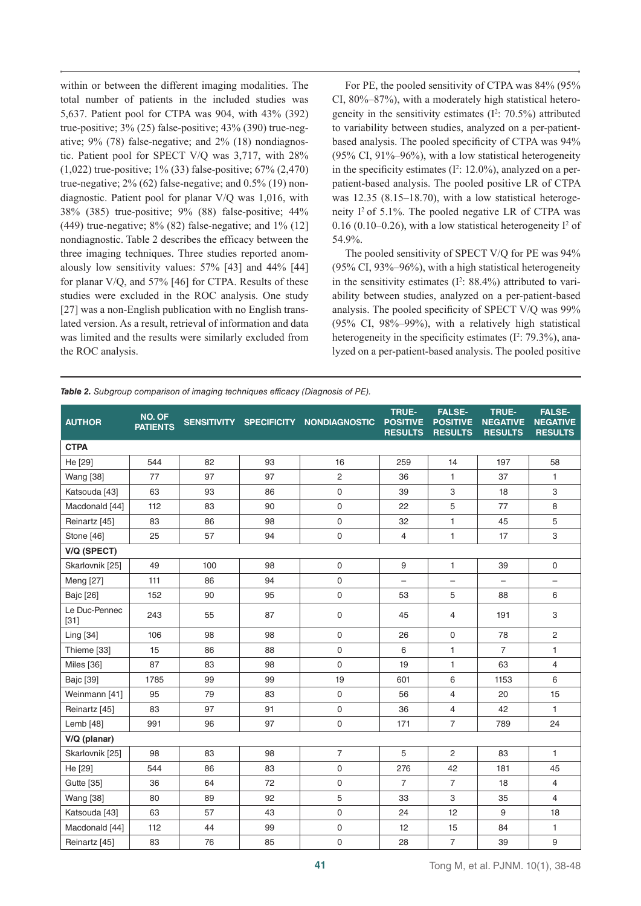within or between the different imaging modalities. The total number of patients in the included studies was 5,637. Patient pool for CTPA was 904, with 43% (392) true-positive; 3% (25) false-positive; 43% (390) true-negative; 9% (78) false-negative; and 2% (18) nondiagnostic. Patient pool for SPECT V/Q was 3,717, with 28% (1,022) true-positive; 1% (33) false-positive; 67% (2,470) true-negative;  $2\%$  (62) false-negative; and  $0.5\%$  (19) nondiagnostic. Patient pool for planar V/Q was 1,016, with 38% (385) true-positive; 9% (88) false-positive; 44% (449) true-negative; 8% (82) false-negative; and 1% (12] nondiagnostic. Table 2 describes the efficacy between the three imaging techniques. Three studies reported anomalously low sensitivity values: 57% [43] and 44% [44] for planar V/Q, and 57% [46] for CTPA. Results of these studies were excluded in the ROC analysis. One study [27] was a non-English publication with no English translated version. As a result, retrieval of information and data was limited and the results were similarly excluded from the ROC analysis.

For PE, the pooled sensitivity of CTPA was 84% (95% CI, 80%–87%), with a moderately high statistical heterogeneity in the sensitivity estimates  $(I^2: 70.5\%)$  attributed to variability between studies, analyzed on a per-patientbased analysis. The pooled specificity of CTPA was 94% (95% CI, 91%–96%), with a low statistical heterogeneity in the specificity estimates  $(I^2: 12.0\%)$ , analyzed on a perpatient-based analysis. The pooled positive LR of CTPA was 12.35 (8.15–18.70), with a low statistical heterogeneity  $I^2$  of 5.1%. The pooled negative LR of CTPA was 0.16 (0.10–0.26), with a low statistical heterogeneity  $I^2$  of 54.9%.

The pooled sensitivity of SPECT V/Q for PE was 94% (95% CI, 93%–96%), with a high statistical heterogeneity in the sensitivity estimates  $(I^2: 88.4%)$  attributed to variability between studies, analyzed on a per-patient-based analysis. The pooled specificity of SPECT V/Q was 99% (95% CI, 98%–99%), with a relatively high statistical heterogeneity in the specificity estimates  $(I^2: 79.3\%)$ , analyzed on a per-patient-based analysis. The pooled positive

|  | <b>Table 2.</b> Subgroup comparison of imaging techniques efficacy (Diagnosis of PE). |  |  |  |
|--|---------------------------------------------------------------------------------------|--|--|--|
|  |                                                                                       |  |  |  |

| <b>AUTHOR</b>           | NO. OF<br><b>PATIENTS</b> |     |    | SENSITIVITY SPECIFICITY NONDIAGNOSTIC | <b>TRUE-</b><br><b>POSITIVE</b><br><b>RESULTS</b> | <b>FALSE-</b><br><b>POSITIVE</b><br><b>RESULTS</b> | <b>TRUE-</b><br><b>NEGATIVE</b><br><b>RESULTS</b> | <b>FALSE-</b><br><b>NEGATIVE</b><br><b>RESULTS</b> |
|-------------------------|---------------------------|-----|----|---------------------------------------|---------------------------------------------------|----------------------------------------------------|---------------------------------------------------|----------------------------------------------------|
| <b>CTPA</b>             |                           |     |    |                                       |                                                   |                                                    |                                                   |                                                    |
| He [29]                 | 544                       | 82  | 93 | 16                                    | 259                                               | 14                                                 | 197                                               | 58                                                 |
| <b>Wang</b> [38]        | 77                        | 97  | 97 | $\sqrt{2}$                            | 36                                                | 1                                                  | 37                                                | $\mathbf{1}$                                       |
| Katsouda [43]           | 63                        | 93  | 86 | $\mathbf 0$                           | 39                                                | 3                                                  | 18                                                | 3                                                  |
| Macdonald [44]          | 112                       | 83  | 90 | $\mathsf{O}\xspace$                   | 22                                                | 5                                                  | 77                                                | 8                                                  |
| Reinartz [45]           | 83                        | 86  | 98 | $\mathbf 0$                           | 32                                                | 1                                                  | 45                                                | 5                                                  |
| Stone [46]              | 25                        | 57  | 94 | $\mathsf 0$                           | $\overline{4}$                                    | 1                                                  | 17                                                | 3                                                  |
| V/Q (SPECT)             |                           |     |    |                                       |                                                   |                                                    |                                                   |                                                    |
| Skarlovnik [25]         | 49                        | 100 | 98 | $\mathbf 0$                           | 9                                                 | $\mathbf{1}$                                       | 39                                                | $\mathbf 0$                                        |
| Meng [27]               | 111                       | 86  | 94 | $\mathbf 0$                           | $\overline{\phantom{0}}$                          | $\overline{\phantom{0}}$                           | $\qquad \qquad -$                                 | $\overline{\phantom{0}}$                           |
| Bajc [26]               | 152                       | 90  | 95 | $\mathsf{O}\xspace$                   | 53                                                | 5                                                  | 88                                                | 6                                                  |
| Le Duc-Pennec<br>$[31]$ | 243                       | 55  | 87 | 0                                     | 45                                                | 4                                                  | 191                                               | 3                                                  |
| Ling [34]               | 106                       | 98  | 98 | 0                                     | 26                                                | $\mathbf 0$                                        | 78                                                | 2                                                  |
| Thieme [33]             | 15                        | 86  | 88 | $\mathbf 0$                           | 6                                                 | 1                                                  | $\overline{7}$                                    | 1                                                  |
| Miles [36]              | 87                        | 83  | 98 | $\mathbf 0$                           | 19                                                | 1                                                  | 63                                                | $\overline{4}$                                     |
| Bajc [39]               | 1785                      | 99  | 99 | 19                                    | 601                                               | 6                                                  | 1153                                              | $\,6\,$                                            |
| Weinmann [41]           | 95                        | 79  | 83 | $\mathsf{O}\xspace$                   | 56                                                | 4                                                  | 20                                                | 15                                                 |
| Reinartz [45]           | 83                        | 97  | 91 | $\mathsf{O}\xspace$                   | 36                                                | 4                                                  | 42                                                | 1                                                  |
| Lemb [48]               | 991                       | 96  | 97 | $\mathsf{O}\xspace$                   | 171                                               | $\overline{7}$                                     | 789                                               | 24                                                 |
| V/Q (planar)            |                           |     |    |                                       |                                                   |                                                    |                                                   |                                                    |
| Skarlovnik [25]         | 98                        | 83  | 98 | $\overline{7}$                        | 5                                                 | 2                                                  | 83                                                | $\mathbf{1}$                                       |
| He [29]                 | 544                       | 86  | 83 | 0                                     | 276                                               | 42                                                 | 181                                               | 45                                                 |
| Gutte [35]              | 36                        | 64  | 72 | 0                                     | $\overline{7}$                                    | $\overline{7}$                                     | 18                                                | $\overline{4}$                                     |
| <b>Wang [38]</b>        | 80                        | 89  | 92 | 5                                     | 33                                                | 3                                                  | 35                                                | $\overline{4}$                                     |
| Katsouda [43]           | 63                        | 57  | 43 | $\mathbf 0$                           | 24                                                | 12                                                 | 9                                                 | 18                                                 |
| Macdonald [44]          | 112                       | 44  | 99 | $\mathsf 0$                           | 12                                                | 15                                                 | 84                                                | 1                                                  |
| Reinartz [45]           | 83                        | 76  | 85 | $\mathsf 0$                           | 28                                                | $\overline{7}$                                     | 39                                                | $\boldsymbol{9}$                                   |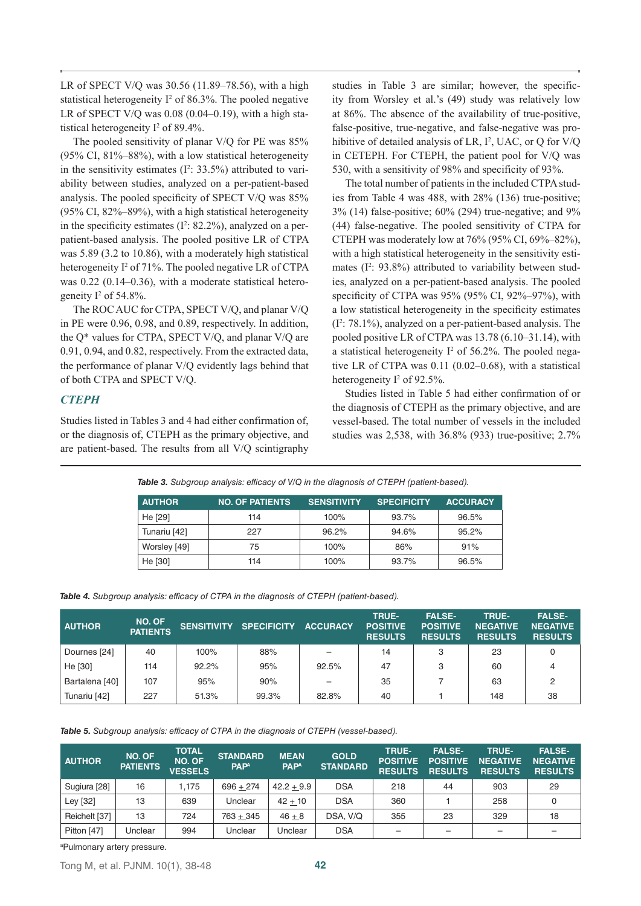LR of SPECT V/Q was 30.56 (11.89–78.56), with a high statistical heterogeneity  $I^2$  of 86.3%. The pooled negative LR of SPECT V/Q was 0.08 (0.04–0.19), with a high statistical heterogeneity  $I^2$  of 89.4%.

The pooled sensitivity of planar V/Q for PE was 85%  $(95\% \text{ CI}, 81\% - 88\%)$ , with a low statistical heterogeneity in the sensitivity estimates  $(I^2: 33.5\%)$  attributed to variability between studies, analyzed on a per-patient-based analysis. The pooled specificity of SPECT V/Q was 85% (95% CI, 82%–89%), with a high statistical heterogeneity in the specificity estimates  $(I^2: 82.2\%)$ , analyzed on a perpatient-based analysis. The pooled positive LR of CTPA was 5.89 (3.2 to 10.86), with a moderately high statistical heterogeneity I<sup>2</sup> of 71%. The pooled negative LR of CTPA was 0.22 (0.14–0.36), with a moderate statistical heterogeneity I2 of 54.8%.

The ROC AUC for CTPA, SPECT V/Q, and planar V/Q in PE were 0.96, 0.98, and 0.89, respectively. In addition, the Q\* values for CTPA, SPECT V/Q, and planar V/Q are 0.91, 0.94, and 0.82, respectively. From the extracted data, the performance of planar V/Q evidently lags behind that of both CTPA and SPECT V/Q.

# *CTEPH*

Studies listed in Tables 3 and 4 had either confirmation of, or the diagnosis of, CTEPH as the primary objective, and are patient-based. The results from all V/Q scintigraphy studies in Table 3 are similar; however, the specificity from Worsley et al.'s (49) study was relatively low at 86%. The absence of the availability of true-positive, false-positive, true-negative, and false-negative was prohibitive of detailed analysis of LR,  $I^2$ , UAC, or Q for V/Q in CETEPH. For CTEPH, the patient pool for V/Q was 530, with a sensitivity of 98% and specificity of 93%.

The total number of patients in the included CTPA studies from Table 4 was 488, with 28% (136) true-positive; 3% (14) false-positive; 60% (294) true-negative; and 9% (44) false-negative. The pooled sensitivity of CTPA for CTEPH was moderately low at 76% (95% CI, 69%–82%), with a high statistical heterogeneity in the sensitivity estimates  $(I^2: 93.8\%)$  attributed to variability between studies, analyzed on a per-patient-based analysis. The pooled specificity of CTPA was 95% (95% CI, 92%–97%), with a low statistical heterogeneity in the specificity estimates  $(I^2: 78.1\%)$ , analyzed on a per-patient-based analysis. The pooled positive LR of CTPA was 13.78 (6.10–31.14), with a statistical heterogeneity  $I^2$  of 56.2%. The pooled negative LR of CTPA was 0.11 (0.02–0.68), with a statistical heterogeneity  $I^2$  of 92.5%.

Studies listed in Table 5 had either confirmation of or the diagnosis of CTEPH as the primary objective, and are vessel-based. The total number of vessels in the included studies was 2,538, with 36.8% (933) true-positive; 2.7%

*Table 3. Subgroup analysis: efficacy of V/Q in the diagnosis of CTEPH (patient-based).*

| <b>AUTHOR</b> | <b>NO. OF PATIENTS</b> | <b>SENSITIVITY</b> | <b>SPECIFICITY</b> | <b>ACCURACY</b> |
|---------------|------------------------|--------------------|--------------------|-----------------|
| He [29]       | 114                    | 100%               | 93.7%              | 96.5%           |
| Tunariu [42]  | 227                    | 96.2%              | 94.6%              | 95.2%           |
| Worsley [49]  | 75                     | 100%               | 86%                | 91%             |
| He [30]       | 114                    | 100%               | 93.7%              | 96.5%           |

*Table 4. Subgroup analysis: efficacy of CTPA in the diagnosis of CTEPH (patient-based).*

| <b>AUTHOR</b>  | NO. OF<br><b>PATIENTS</b> | <b>SENSITIVITY</b> | <b>SPECIFICITY</b> | <b>ACCURACY</b>          | <b>TRUE-</b><br><b>POSITIVE</b><br><b>RESULTS</b> | <b>FALSE-</b><br><b>POSITIVE</b><br><b>RESULTS</b> | <b>TRUE-</b><br><b>NEGATIVE</b><br><b>RESULTS</b> | <b>FALSE-</b><br><b>NEGATIVE</b><br><b>RESULTS</b> |
|----------------|---------------------------|--------------------|--------------------|--------------------------|---------------------------------------------------|----------------------------------------------------|---------------------------------------------------|----------------------------------------------------|
| Dournes [24]   | 40                        | 100%               | 88%                |                          | 14                                                | 3                                                  | 23                                                |                                                    |
| He [30]        | 114                       | 92.2%              | 95%                | 92.5%                    | 47                                                | 3                                                  | 60                                                | 4                                                  |
| Bartalena [40] | 107                       | 95%                | 90%                | $\overline{\phantom{0}}$ | 35                                                |                                                    | 63                                                | っ                                                  |
| Tunariu [42]   | 227                       | 51.3%              | 99.3%              | 82.8%                    | 40                                                |                                                    | 148                                               | 38                                                 |

*Table 5. Subgroup analysis: efficacy of CTPA in the diagnosis of CTEPH (vessel-based).*

| <b>AUTHOR</b> | NO. OF<br><b>PATIENTS</b> | <b>TOTAL</b><br><b>NO. OF</b><br><b>VESSELS</b> | <b>STANDARD</b><br><b>PAPA</b> | <b>MEAN</b><br><b>PAP<sup>A</sup></b> | <b>GOLD</b><br><b>STANDARD</b> | <b>TRUE-</b><br><b>POSITIVE</b><br><b>RESULTS</b> | <b>FALSE-</b><br><b>POSITIVE</b><br><b>RESULTS</b> | <b>TRUE-</b><br><b>NEGATIVE</b><br><b>RESULTS</b> | <b>FALSE-</b><br><b>NEGATIVE</b><br><b>RESULTS</b> |
|---------------|---------------------------|-------------------------------------------------|--------------------------------|---------------------------------------|--------------------------------|---------------------------------------------------|----------------------------------------------------|---------------------------------------------------|----------------------------------------------------|
| Sugiura [28]  | 16                        | 1.175                                           | $696 + 274$                    | $42.2 + 9.9$                          | <b>DSA</b>                     | 218                                               | 44                                                 | 903                                               | 29                                                 |
| Ley [32]      | 13                        | 639                                             | Unclear                        | $42 + 10$                             | <b>DSA</b>                     | 360                                               |                                                    | 258                                               |                                                    |
| Reichelt [37] | 13                        | 724                                             | $763 + 345$                    | $46 + 8$                              | DSA, V/Q                       | 355                                               | 23                                                 | 329                                               | 18                                                 |
| Pitton [47]   | Unclear                   | 994                                             | Unclear                        | Unclear                               | <b>DSA</b>                     | $\overline{\phantom{0}}$                          |                                                    | -                                                 |                                                    |

a Pulmonary artery pressure.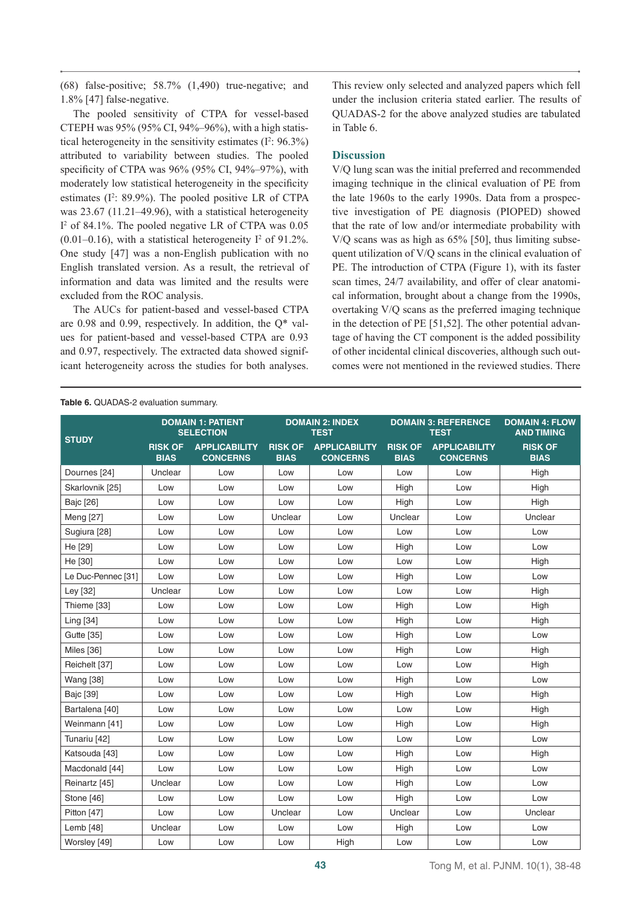(68) false-positive; 58.7% (1,490) true-negative; and 1.8% [47] false-negative.

The pooled sensitivity of CTPA for vessel-based CTEPH was 95% (95% CI, 94%–96%), with a high statistical heterogeneity in the sensitivity estimates  $(I^2: 96.3\%)$ attributed to variability between studies. The pooled specificity of CTPA was 96% (95% CI, 94%–97%), with moderately low statistical heterogeneity in the specificity estimates  $(I^2: 89.9\%)$ . The pooled positive LR of CTPA was 23.67 (11.21–49.96), with a statistical heterogeneity I 2 of 84.1%. The pooled negative LR of CTPA was 0.05  $(0.01-0.16)$ , with a statistical heterogeneity  $I^2$  of 91.2%. One study [47] was a non-English publication with no English translated version. As a result, the retrieval of information and data was limited and the results were excluded from the ROC analysis.

The AUCs for patient-based and vessel-based CTPA are 0.98 and 0.99, respectively. In addition, the Q\* values for patient-based and vessel-based CTPA are 0.93 and 0.97, respectively. The extracted data showed significant heterogeneity across the studies for both analyses.

This review only selected and analyzed papers which fell under the inclusion criteria stated earlier. The results of QUADAS-2 for the above analyzed studies are tabulated in Table 6.

# **Discussion**

V/Q lung scan was the initial preferred and recommended imaging technique in the clinical evaluation of PE from the late 1960s to the early 1990s. Data from a prospective investigation of PE diagnosis (PIOPED) showed that the rate of low and/or intermediate probability with V/Q scans was as high as 65% [50], thus limiting subsequent utilization of V/Q scans in the clinical evaluation of PE. The introduction of CTPA (Figure 1), with its faster scan times, 24/7 availability, and offer of clear anatomical information, brought about a change from the 1990s, overtaking V/Q scans as the preferred imaging technique in the detection of PE [51,52]. The other potential advantage of having the CT component is the added possibility of other incidental clinical discoveries, although such outcomes were not mentioned in the reviewed studies. There

|                    | <b>DOMAIN 1: PATIENT</b><br><b>SELECTION</b> |                                         | <b>DOMAIN 2: INDEX</b><br><b>TEST</b> |                                         |                               | <b>DOMAIN 3: REFERENCE</b><br><b>TEST</b> | <b>DOMAIN 4: FLOW</b><br><b>AND TIMING</b> |
|--------------------|----------------------------------------------|-----------------------------------------|---------------------------------------|-----------------------------------------|-------------------------------|-------------------------------------------|--------------------------------------------|
| <b>STUDY</b>       | <b>RISK OF</b><br><b>BIAS</b>                | <b>APPLICABILITY</b><br><b>CONCERNS</b> | <b>RISK OF</b><br><b>BIAS</b>         | <b>APPLICABILITY</b><br><b>CONCERNS</b> | <b>RISK OF</b><br><b>BIAS</b> | <b>APPLICABILITY</b><br><b>CONCERNS</b>   | <b>RISK OF</b><br><b>BIAS</b>              |
| Dournes [24]       | Unclear                                      | Low                                     | Low                                   | Low                                     | Low                           | Low                                       | High                                       |
| Skarlovnik [25]    | Low                                          | Low                                     | Low                                   | Low                                     | High                          | Low                                       | High                                       |
| Bajc [26]          | Low                                          | Low                                     | Low                                   | Low                                     | High                          | Low                                       | High                                       |
| Meng [27]          | Low                                          | Low                                     | Unclear                               | Low                                     | Unclear                       | Low                                       | Unclear                                    |
| Sugiura [28]       | Low                                          | Low                                     | Low                                   | Low                                     | Low                           | Low                                       | Low                                        |
| He [29]            | Low                                          | Low                                     | Low                                   | Low                                     | High                          | Low                                       | Low                                        |
| He [30]            | Low                                          | Low                                     | Low                                   | Low                                     | Low                           | Low                                       | High                                       |
| Le Duc-Pennec [31] | Low                                          | Low                                     | Low                                   | Low                                     | High                          | Low                                       | Low                                        |
| Ley [32]           | Unclear                                      | Low                                     | Low                                   | Low                                     | Low                           | Low                                       | High                                       |
| Thieme [33]        | Low                                          | Low                                     | Low                                   | Low                                     | High                          | Low                                       | High                                       |
| Ling [34]          | Low                                          | Low                                     | Low                                   | Low                                     | High                          | Low                                       | High                                       |
| Gutte [35]         | Low                                          | Low                                     | Low                                   | Low                                     | High                          | Low                                       | Low                                        |
| Miles [36]         | Low                                          | Low                                     | Low                                   | Low                                     | High                          | Low                                       | High                                       |
| Reichelt [37]      | Low                                          | Low                                     | Low                                   | Low                                     | Low                           | Low                                       | High                                       |
| <b>Wang [38]</b>   | Low                                          | Low                                     | Low                                   | Low                                     | High                          | Low                                       | Low                                        |
| <b>Bajc [39]</b>   | Low                                          | Low                                     | Low                                   | Low                                     | High                          | Low                                       | High                                       |
| Bartalena [40]     | Low                                          | Low                                     | Low                                   | Low                                     | Low                           | Low                                       | High                                       |
| Weinmann [41]      | Low                                          | Low                                     | Low                                   | Low                                     | High                          | Low                                       | High                                       |
| Tunariu [42]       | Low                                          | Low                                     | Low                                   | Low                                     | Low                           | Low                                       | Low                                        |
| Katsouda [43]      | Low                                          | Low                                     | Low                                   | Low                                     | High                          | Low                                       | High                                       |
| Macdonald [44]     | Low                                          | Low                                     | Low                                   | Low                                     | High                          | Low                                       | Low                                        |
| Reinartz [45]      | Unclear                                      | Low                                     | Low                                   | Low                                     | High                          | Low                                       | Low                                        |
| Stone [46]         | Low                                          | Low                                     | Low                                   | Low                                     | High                          | Low                                       | Low                                        |
| Pitton [47]        | Low                                          | Low                                     | Unclear                               | Low                                     | Unclear                       | Low                                       | Unclear                                    |
| Lemb [48]          | Unclear                                      | Low                                     | Low                                   | Low                                     | High                          | Low                                       | Low                                        |
| Worsley [49]       | Low                                          | Low                                     | Low                                   | High                                    | Low                           | Low                                       | Low                                        |

#### **Table 6.** QUADAS-2 evaluation summary.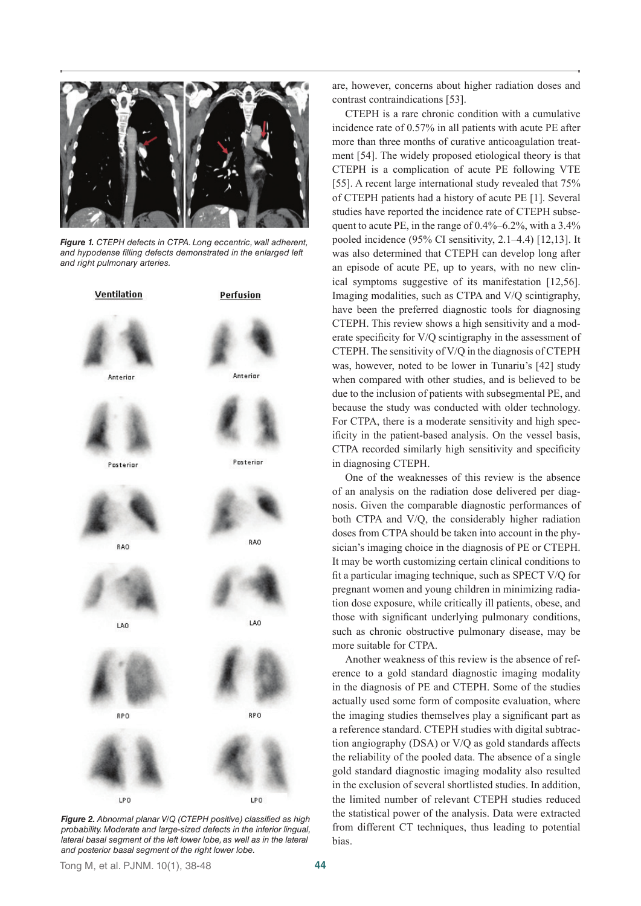

*Figure 1. CTEPH defects in CTPA. Long eccentric, wall adherent, and hypodense filling defects demonstrated in the enlarged left and right pulmonary arteries.* 



*Figure 2. Abnormal planar V/Q (CTEPH positive) classified as high probability. Moderate and large-sized defects in the inferior lingual, lateral basal segment of the left lower lobe, as well as in the lateral and posterior basal segment of the right lower lobe.* 

are, however, concerns about higher radiation doses and contrast contraindications [53].

CTEPH is a rare chronic condition with a cumulative incidence rate of 0.57% in all patients with acute PE after more than three months of curative anticoagulation treatment [54]. The widely proposed etiological theory is that CTEPH is a complication of acute PE following VTE [55]. A recent large international study revealed that 75% of CTEPH patients had a history of acute PE [1]. Several studies have reported the incidence rate of CTEPH subsequent to acute PE, in the range of 0.4%–6.2%, with a 3.4% pooled incidence (95% CI sensitivity, 2.1–4.4) [12,13]. It was also determined that CTEPH can develop long after an episode of acute PE, up to years, with no new clinical symptoms suggestive of its manifestation [12,56]. Imaging modalities, such as CTPA and V/Q scintigraphy, have been the preferred diagnostic tools for diagnosing CTEPH. This review shows a high sensitivity and a moderate specificity for V/Q scintigraphy in the assessment of CTEPH. The sensitivity of V/Q in the diagnosis of CTEPH was, however, noted to be lower in Tunariu's [42] study when compared with other studies, and is believed to be due to the inclusion of patients with subsegmental PE, and because the study was conducted with older technology. For CTPA, there is a moderate sensitivity and high specificity in the patient-based analysis. On the vessel basis, CTPA recorded similarly high sensitivity and specificity in diagnosing CTEPH.

One of the weaknesses of this review is the absence of an analysis on the radiation dose delivered per diagnosis. Given the comparable diagnostic performances of both CTPA and V/Q, the considerably higher radiation doses from CTPA should be taken into account in the physician's imaging choice in the diagnosis of PE or CTEPH. It may be worth customizing certain clinical conditions to fit a particular imaging technique, such as SPECT V/Q for pregnant women and young children in minimizing radiation dose exposure, while critically ill patients, obese, and those with significant underlying pulmonary conditions, such as chronic obstructive pulmonary disease, may be more suitable for CTPA.

Another weakness of this review is the absence of reference to a gold standard diagnostic imaging modality in the diagnosis of PE and CTEPH. Some of the studies actually used some form of composite evaluation, where the imaging studies themselves play a significant part as a reference standard. CTEPH studies with digital subtraction angiography (DSA) or V/Q as gold standards affects the reliability of the pooled data. The absence of a single gold standard diagnostic imaging modality also resulted in the exclusion of several shortlisted studies. In addition, the limited number of relevant CTEPH studies reduced the statistical power of the analysis. Data were extracted from different CT techniques, thus leading to potential bias.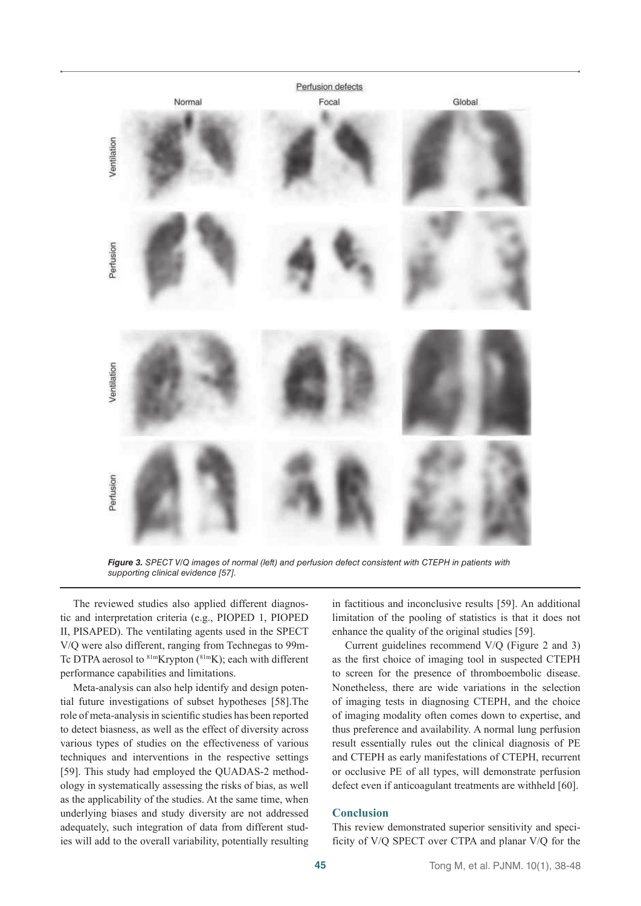

*Figure 3. SPECT V/Q images of normal (left) and perfusion defect consistent with CTEPH in patients with supporting clinical evidence [57].* 

The reviewed studies also applied different diagnostic and interpretation criteria (e.g., PIOPED 1, PIOPED II, PISAPED). The ventilating agents used in the SPECT V/Q were also different, ranging from Technegas to 99m-Tc DTPA aerosol to  $81mKrypton (81mK)$ ; each with different performance capabilities and limitations.

Meta-analysis can also help identify and design potential future investigations of subset hypotheses [58].The role of meta-analysis in scientific studies has been reported to detect biasness, as well as the effect of diversity across various types of studies on the effectiveness of various techniques and interventions in the respective settings [59]. This study had employed the QUADAS-2 methodology in systematically assessing the risks of bias, as well as the applicability of the studies. At the same time, when underlying biases and study diversity are not addressed adequately, such integration of data from different studies will add to the overall variability, potentially resulting

in factitious and inconclusive results [59]. An additional limitation of the pooling of statistics is that it does not enhance the quality of the original studies [59].

Current guidelines recommend V/Q (Figure 2 and 3) as the first choice of imaging tool in suspected CTEPH to screen for the presence of thromboembolic disease. Nonetheless, there are wide variations in the selection of imaging tests in diagnosing CTEPH, and the choice of imaging modality often comes down to expertise, and thus preference and availability. A normal lung perfusion result essentially rules out the clinical diagnosis of PE and CTEPH as early manifestations of CTEPH, recurrent or occlusive PE of all types, will demonstrate perfusion defect even if anticoagulant treatments are withheld [60].

# **Conclusion**

This review demonstrated superior sensitivity and specificity of V/Q SPECT over CTPA and planar V/Q for the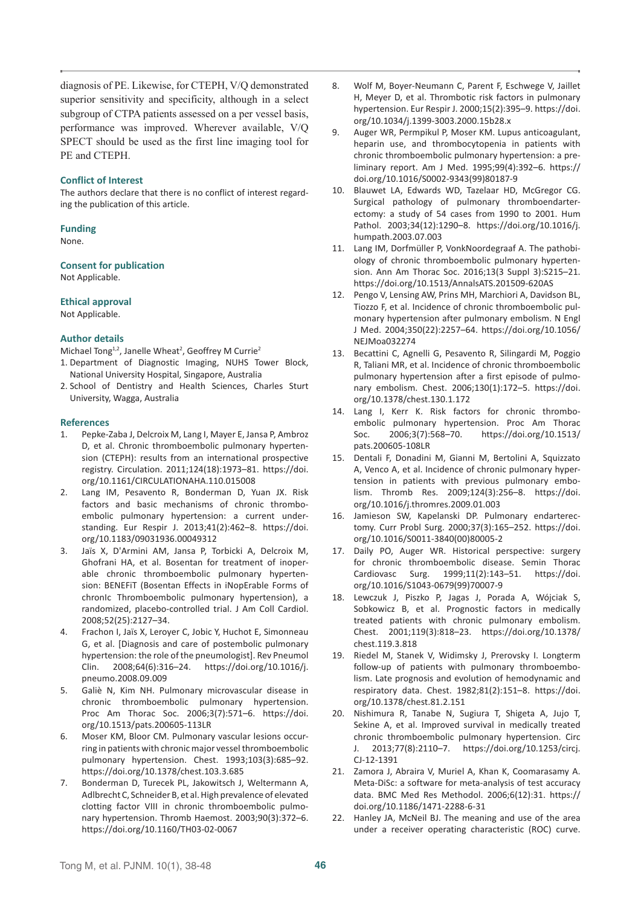diagnosis of PE. Likewise, for CTEPH, V/Q demonstrated superior sensitivity and specificity, although in a select subgroup of CTPA patients assessed on a per vessel basis, performance was improved. Wherever available, V/Q SPECT should be used as the first line imaging tool for PE and CTEPH.

## **Conflict of Interest**

The authors declare that there is no conflict of interest regarding the publication of this article.

# **Funding**

None.

**Consent for publication** Not Applicable.

**Ethical approval**

Not Applicable.

# **Author details**

Michael Tong<sup>1,2</sup>, Janelle Wheat<sup>2</sup>, Geoffrey M Currie<sup>2</sup>

- 1. Department of Diagnostic Imaging, NUHS Tower Block, National University Hospital, Singapore, Australia
- 2. School of Dentistry and Health Sciences, Charles Sturt University, Wagga, Australia

#### **References**

- 1. Pepke-Zaba J, Delcroix M, Lang I, Mayer E, Jansa P, Ambroz D, et al. Chronic thromboembolic pulmonary hypertension (CTEPH): results from an international prospective registry. Circulation. 2011;124(18):1973–81. [https://doi.](https://doi.org/10.1161/CIRCULATIONAHA.110.015008) [org/10.1161/CIRCULATIONAHA.110.015008](https://doi.org/10.1161/CIRCULATIONAHA.110.015008)
- 2. Lang IM, Pesavento R, Bonderman D, Yuan JX. Risk factors and basic mechanisms of chronic thromboembolic pulmonary hypertension: a current understanding. Eur Respir J. 2013;41(2):462–8. [https://doi.](https://doi.org/10.1183/09031936.00049312) [org/10.1183/09031936.00049312](https://doi.org/10.1183/09031936.00049312)
- 3. Jaïs X, D'Armini AM, Jansa P, Torbicki A, Delcroix M, Ghofrani HA, et al. Bosentan for treatment of inoperable chronic thromboembolic pulmonary hypertension: BENEFiT (Bosentan Effects in iNopErable Forms of chronIc Thromboembolic pulmonary hypertension), a randomized, placebo-controlled trial. J Am Coll Cardiol. 2008;52(25):2127–34.
- 4. Frachon I, Jaïs X, Leroyer C, Jobic Y, Huchot E, Simonneau G, et al. [Diagnosis and care of postembolic pulmonary hypertension: the role of the pneumologist]. Rev Pneumol Clin. 2008;64(6):316–24. [https://doi.org/10.1016/j.](https://doi.org/10.1016/j.pneumo.2008.09.009) [pneumo.2008.09.009](https://doi.org/10.1016/j.pneumo.2008.09.009)
- 5. Galiè N, Kim NH. Pulmonary microvascular disease in chronic thromboembolic pulmonary hypertension. Proc Am Thorac Soc. 2006;3(7):571–6. [https://doi.](https://doi.org/10.1513/pats.200605-113LR) [org/10.1513/pats.200605-113LR](https://doi.org/10.1513/pats.200605-113LR)
- 6. Moser KM, Bloor CM. Pulmonary vascular lesions occurring in patients with chronic major vessel thromboembolic pulmonary hypertension. Chest. 1993;103(3):685–92. <https://doi.org/10.1378/chest.103.3.685>
- 7. Bonderman D, Turecek PL, Jakowitsch J, Weltermann A, Adlbrecht C, Schneider B, et al. High prevalence of elevated clotting factor VIII in chronic thromboembolic pulmonary hypertension. Thromb Haemost. 2003;90(3):372–6. <https://doi.org/10.1160/TH03-02-0067>
- 8. Wolf M, Boyer-Neumann C, Parent F, Eschwege V, Jaillet H, Meyer D, et al. Thrombotic risk factors in pulmonary hypertension. Eur Respir J. 2000;15(2):395–9. [https://doi.](https://doi.org/10.1034/j.1399-3003.2000.15b28.x) [org/10.1034/j.1399-3003.2000.15b28.x](https://doi.org/10.1034/j.1399-3003.2000.15b28.x)
- 9. Auger WR, Permpikul P, Moser KM. Lupus anticoagulant, heparin use, and thrombocytopenia in patients with chronic thromboembolic pulmonary hypertension: a preliminary report. Am J Med. 1995;99(4):392–6. [https://](https://doi.org/10.1016/S0002-9343(99)80187-9) [doi.org/10.1016/S0002-9343\(99\)80187-9](https://doi.org/10.1016/S0002-9343(99)80187-9)
- 10. Blauwet LA, Edwards WD, Tazelaar HD, McGregor CG. Surgical pathology of pulmonary thromboendarterectomy: a study of 54 cases from 1990 to 2001. Hum Pathol. 2003;34(12):1290–8. [https://doi.org/10.1016/j.](https://doi.org/10.1016/j.humpath.2003.07.003) [humpath.2003.07.003](https://doi.org/10.1016/j.humpath.2003.07.003)
- 11. Lang IM, Dorfmüller P, VonkNoordegraaf A. The pathobiology of chronic thromboembolic pulmonary hypertension. Ann Am Thorac Soc. 2016;13(3 Suppl 3):S215–21. <https://doi.org/10.1513/AnnalsATS.201509-620AS>
- 12. Pengo V, Lensing AW, Prins MH, Marchiori A, Davidson BL, Tiozzo F, et al. Incidence of chronic thromboembolic pulmonary hypertension after pulmonary embolism. N Engl J Med. 2004;350(22):2257–64. [https://doi.org/10.1056/](https://doi.org/10.1056/NEJMoa032274) [NEJMoa032274](https://doi.org/10.1056/NEJMoa032274)
- 13. Becattini C, Agnelli G, Pesavento R, Silingardi M, Poggio R, Taliani MR, et al. Incidence of chronic thromboembolic pulmonary hypertension after a first episode of pulmonary embolism. Chest. 2006;130(1):172–5. [https://doi.](https://doi.org/10.1378/chest.130.1.172) [org/10.1378/chest.130.1.172](https://doi.org/10.1378/chest.130.1.172)
- 14. Lang I, Kerr K. Risk factors for chronic thromboembolic pulmonary hypertension. Proc Am Thorac Soc. 2006;3(7):568–70. [https://doi.org/10.1513/](https://doi.org/10.1513/pats.200605-108LR) [pats.200605-108LR](https://doi.org/10.1513/pats.200605-108LR)
- 15. Dentali F, Donadini M, Gianni M, Bertolini A, Squizzato A, Venco A, et al. Incidence of chronic pulmonary hypertension in patients with previous pulmonary embolism. Thromb Res. 2009;124(3):256–8. [https://doi.](https://doi.org/10.1016/j.thromres.2009.01.003) [org/10.1016/j.thromres.2009.01.003](https://doi.org/10.1016/j.thromres.2009.01.003)
- 16. Jamieson SW, Kapelanski DP. Pulmonary endarterectomy. Curr Probl Surg. 2000;37(3):165–252. [https://doi.](https://doi.org/10.1016/S0011-3840(00)80005-2) [org/10.1016/S0011-3840\(00\)80005-2](https://doi.org/10.1016/S0011-3840(00)80005-2)
- 17. Daily PO, Auger WR. Historical perspective: surgery for chronic thromboembolic disease. Semin Thorac Cardiovasc Surg. 1999;11(2):143–51. [https://doi.](https://doi.org/10.1016/S1043-0679(99)70007-9) [org/10.1016/S1043-0679\(99\)70007-9](https://doi.org/10.1016/S1043-0679(99)70007-9)
- 18. Lewczuk J, Piszko P, Jagas J, Porada A, Wójciak S, Sobkowicz B, et al. Prognostic factors in medically treated patients with chronic pulmonary embolism. Chest. 2001;119(3):818–23. [https://doi.org/10.1378/](https://doi.org/10.1378/chest.119.3.818) [chest.119.3.818](https://doi.org/10.1378/chest.119.3.818)
- 19. Riedel M, Stanek V, Widimsky J, Prerovsky I. Longterm follow-up of patients with pulmonary thromboembolism. Late prognosis and evolution of hemodynamic and respiratory data. Chest. 1982;81(2):151–8. [https://doi.](https://doi.org/10.1378/chest.81.2.151) [org/10.1378/chest.81.2.151](https://doi.org/10.1378/chest.81.2.151)
- 20. Nishimura R, Tanabe N, Sugiura T, Shigeta A, Jujo T, Sekine A, et al. Improved survival in medically treated chronic thromboembolic pulmonary hypertension. Circ J. 2013;77(8):2110–7. [https://doi.org/10.1253/circj.](https://doi.org/10.1253/circj.CJ-12-1391) [CJ-12-1391](https://doi.org/10.1253/circj.CJ-12-1391)
- 21. Zamora J, Abraira V, Muriel A, Khan K, Coomarasamy A. Meta-DiSc: a software for meta-analysis of test accuracy data. BMC Med Res Methodol. 2006;6(12):31. [https://](https://doi.org/10.1186/1471-2288-6-31) [doi.org/10.1186/1471-2288-6-31](https://doi.org/10.1186/1471-2288-6-31)
- Hanley JA, McNeil BJ. The meaning and use of the area under a receiver operating characteristic (ROC) curve.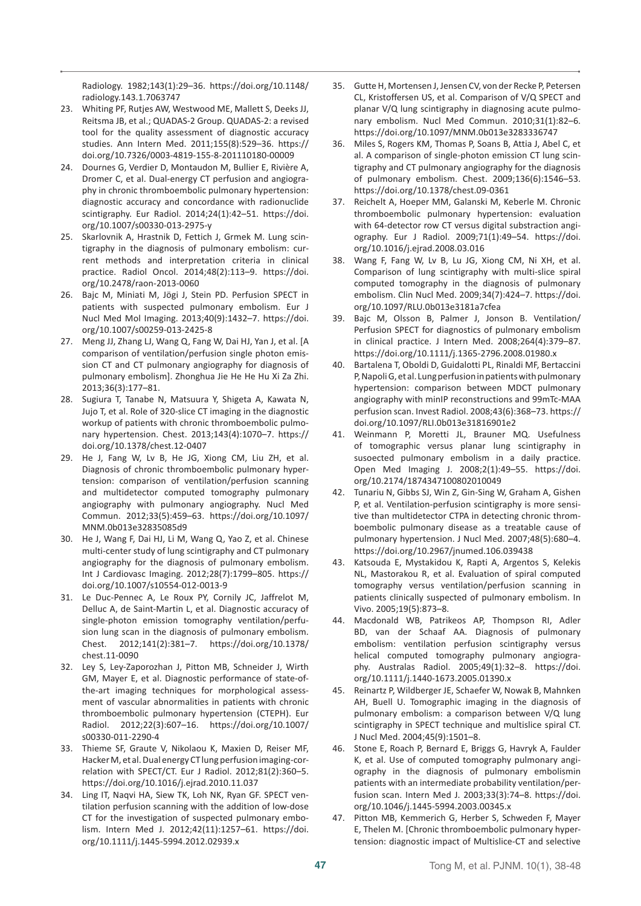Radiology. 1982;143(1):29–36. [https://doi.org/10.1148/](https://doi.org/10.1148/radiology.143.1.7063747) [radiology.143.1.7063747](https://doi.org/10.1148/radiology.143.1.7063747)

- 23. Whiting PF, Rutjes AW, Westwood ME, Mallett S, Deeks JJ, Reitsma JB, et al.; QUADAS-2 Group. QUADAS-2: a revised tool for the quality assessment of diagnostic accuracy studies. Ann Intern Med. 2011;155(8):529–36. [https://](https://doi.org/10.7326/0003-4819-155-8-201110180-00009) [doi.org/10.7326/0003-4819-155-8-201110180-00009](https://doi.org/10.7326/0003-4819-155-8-201110180-00009)
- 24. Dournes G, Verdier D, Montaudon M, Bullier E, Rivière A, Dromer C, et al. Dual-energy CT perfusion and angiography in chronic thromboembolic pulmonary hypertension: diagnostic accuracy and concordance with radionuclide scintigraphy. Eur Radiol. 2014;24(1):42–51. [https://doi.](https://doi.org/10.1007/s00330-013-2975-y) [org/10.1007/s00330-013-2975-y](https://doi.org/10.1007/s00330-013-2975-y)
- 25. Skarlovnik A, Hrastnik D, Fettich J, Grmek M. Lung scintigraphy in the diagnosis of pulmonary embolism: current methods and interpretation criteria in clinical practice. Radiol Oncol. 2014;48(2):113–9. [https://doi.](https://doi.org/10.2478/raon-2013-0060) [org/10.2478/raon-2013-0060](https://doi.org/10.2478/raon-2013-0060)
- 26. Bajc M, Miniati M, Jögi J, Stein PD. Perfusion SPECT in patients with suspected pulmonary embolism. Eur J Nucl Med Mol Imaging. 2013;40(9):1432–7. [https://doi.](https://doi.org/10.1007/s00259-013-2425-8) [org/10.1007/s00259-013-2425-8](https://doi.org/10.1007/s00259-013-2425-8)
- 27. Meng JJ, Zhang LJ, Wang Q, Fang W, Dai HJ, Yan J, et al. [A comparison of ventilation/perfusion single photon emission CT and CT pulmonary angiography for diagnosis of pulmonary embolism]. Zhonghua Jie He He Hu Xi Za Zhi. 2013;36(3):177–81.
- 28. Sugiura T, Tanabe N, Matsuura Y, Shigeta A, Kawata N, Jujo T, et al. Role of 320-slice CT imaging in the diagnostic workup of patients with chronic thromboembolic pulmonary hypertension. Chest. 2013;143(4):1070–7. [https://](https://doi.org/10.1378/chest.12-0407) [doi.org/10.1378/chest.12-0407](https://doi.org/10.1378/chest.12-0407)
- 29. He J, Fang W, Lv B, He JG, Xiong CM, Liu ZH, et al. Diagnosis of chronic thromboembolic pulmonary hypertension: comparison of ventilation/perfusion scanning and multidetector computed tomography pulmonary angiography with pulmonary angiography. Nucl Med Commun. 2012;33(5):459–63. [https://doi.org/10.1097/](https://doi.org/10.1097/MNM.0b013e32835085d9) [MNM.0b013e32835085d9](https://doi.org/10.1097/MNM.0b013e32835085d9)
- 30. He J, Wang F, Dai HJ, Li M, Wang Q, Yao Z, et al. Chinese multi-center study of lung scintigraphy and CT pulmonary angiography for the diagnosis of pulmonary embolism. Int J Cardiovasc Imaging. 2012;28(7):1799–805. [https://](https://doi.org/10.1007/s10554-012-0013-9) [doi.org/10.1007/s10554-012-0013-9](https://doi.org/10.1007/s10554-012-0013-9)
- 31. Le Duc-Pennec A, Le Roux PY, Cornily JC, Jaffrelot M, Delluc A, de Saint-Martin L, et al. Diagnostic accuracy of single-photon emission tomography ventilation/perfusion lung scan in the diagnosis of pulmonary embolism. Chest. 2012;141(2):381–7. [https://doi.org/10.1378/](https://doi.org/10.1378/chest.11-0090) [chest.11-0090](https://doi.org/10.1378/chest.11-0090)
- 32. Ley S, Ley-Zaporozhan J, Pitton MB, Schneider J, Wirth GM, Mayer E, et al. Diagnostic performance of state-ofthe-art imaging techniques for morphological assessment of vascular abnormalities in patients with chronic thromboembolic pulmonary hypertension (CTEPH). Eur Radiol. 2012;22(3):607–16. [https://doi.org/10.1007/](https://doi.org/10.1007/s00330-011-2290-4) [s00330-011-2290-4](https://doi.org/10.1007/s00330-011-2290-4)
- 33. Thieme SF, Graute V, Nikolaou K, Maxien D, Reiser MF, Hacker M, et al. Dual energy CT lung perfusion imaging-correlation with SPECT/CT. Eur J Radiol. 2012;81(2):360–5. <https://doi.org/10.1016/j.ejrad.2010.11.037>
- 34. Ling IT, Naqvi HA, Siew TK, Loh NK, Ryan GF. SPECT ventilation perfusion scanning with the addition of low-dose CT for the investigation of suspected pulmonary embolism. Intern Med J. 2012;42(11):1257–61. [https://doi.](https://doi.org/10.1111/j.1445-5994.2012.02939.x) [org/10.1111/j.1445-5994.2012.02939.x](https://doi.org/10.1111/j.1445-5994.2012.02939.x)
- 35. Gutte H, Mortensen J, Jensen CV, von der Recke P, Petersen CL, Kristoffersen US, et al. Comparison of V/Q SPECT and planar V/Q lung scintigraphy in diagnosing acute pulmonary embolism. Nucl Med Commun. 2010;31(1):82–6. <https://doi.org/10.1097/MNM.0b013e3283336747>
- 36. Miles S, Rogers KM, Thomas P, Soans B, Attia J, Abel C, et al. A comparison of single-photon emission CT lung scintigraphy and CT pulmonary angiography for the diagnosis of pulmonary embolism. Chest. 2009;136(6):1546–53. <https://doi.org/10.1378/chest.09-0361>
- 37. Reichelt A, Hoeper MM, Galanski M, Keberle M. Chronic thromboembolic pulmonary hypertension: evaluation with 64-detector row CT versus digital substraction angiography. Eur J Radiol. 2009;71(1):49–54. [https://doi.](https://doi.org/10.1016/j.ejrad.2008.03.016) [org/10.1016/j.ejrad.2008.03.016](https://doi.org/10.1016/j.ejrad.2008.03.016)
- 38. Wang F, Fang W, Lv B, Lu JG, Xiong CM, Ni XH, et al. Comparison of lung scintigraphy with multi-slice spiral computed tomography in the diagnosis of pulmonary embolism. Clin Nucl Med. 2009;34(7):424–7. [https://doi.](https://doi.org/10.1097/RLU.0b013e3181a7cfea) [org/10.1097/RLU.0b013e3181a7cfea](https://doi.org/10.1097/RLU.0b013e3181a7cfea)
- 39. Bajc M, Olsson B, Palmer J, Jonson B. Ventilation/ Perfusion SPECT for diagnostics of pulmonary embolism in clinical practice. J Intern Med. 2008;264(4):379–87. <https://doi.org/10.1111/j.1365-2796.2008.01980.x>
- 40. Bartalena T, Oboldi D, Guidalotti PL, Rinaldi MF, Bertaccini P, Napoli G, et al. Lung perfusion in patients with pulmonary hypertension: comparison between MDCT pulmonary angiography with minIP reconstructions and 99mTc-MAA perfusion scan. Invest Radiol. 2008;43(6):368–73. [https://](https://doi.org/10.1097/RLI.0b013e31816901e2) [doi.org/10.1097/RLI.0b013e31816901e2](https://doi.org/10.1097/RLI.0b013e31816901e2)
- 41. Weinmann P, Moretti JL, Brauner MQ. Usefulness of tomographic versus planar lung scintigraphy in susoected pulmonary embolism in a daily practice. Open Med Imaging J. 2008;2(1):49–55. [https://doi.](https://doi.org/10.2174/1874347100802010049) [org/10.2174/1874347100802010049](https://doi.org/10.2174/1874347100802010049)
- 42. Tunariu N, Gibbs SJ, Win Z, Gin-Sing W, Graham A, Gishen P, et al. Ventilation-perfusion scintigraphy is more sensitive than multidetector CTPA in detecting chronic thromboembolic pulmonary disease as a treatable cause of pulmonary hypertension. J Nucl Med. 2007;48(5):680–4. <https://doi.org/10.2967/jnumed.106.039438>
- 43. Katsouda E, Mystakidou K, Rapti A, Argentos S, Kelekis NL, Mastorakou R, et al. Evaluation of spiral computed tomography versus ventilation/perfusion scanning in patients clinically suspected of pulmonary embolism. In Vivo. 2005;19(5):873–8.
- 44. Macdonald WB, Patrikeos AP, Thompson RI, Adler BD, van der Schaaf AA. Diagnosis of pulmonary embolism: ventilation perfusion scintigraphy versus helical computed tomography pulmonary angiography. Australas Radiol. 2005;49(1):32–8. [https://doi.](https://doi.org/10.1111/j.1440-1673.2005.01390.x) [org/10.1111/j.1440-1673.2005.01390.x](https://doi.org/10.1111/j.1440-1673.2005.01390.x)
- 45. Reinartz P, Wildberger JE, Schaefer W, Nowak B, Mahnken AH, Buell U. Tomographic imaging in the diagnosis of pulmonary embolism: a comparison between V/Q lung scintigraphy in SPECT technique and multislice spiral CT. J Nucl Med. 2004;45(9):1501–8.
- 46. Stone E, Roach P, Bernard E, Briggs G, Havryk A, Faulder K, et al. Use of computed tomography pulmonary angiography in the diagnosis of pulmonary embolismin patients with an intermediate probability ventilation/perfusion scan. Intern Med J. 2003;33(3):74–8. [https://doi.](https://doi.org/10.1046/j.1445-5994.2003.00345.x) [org/10.1046/j.1445-5994.2003.00345.x](https://doi.org/10.1046/j.1445-5994.2003.00345.x)
- Pitton MB, Kemmerich G, Herber S, Schweden F, Mayer E, Thelen M. [Chronic thromboembolic pulmonary hypertension: diagnostic impact of Multislice-CT and selective